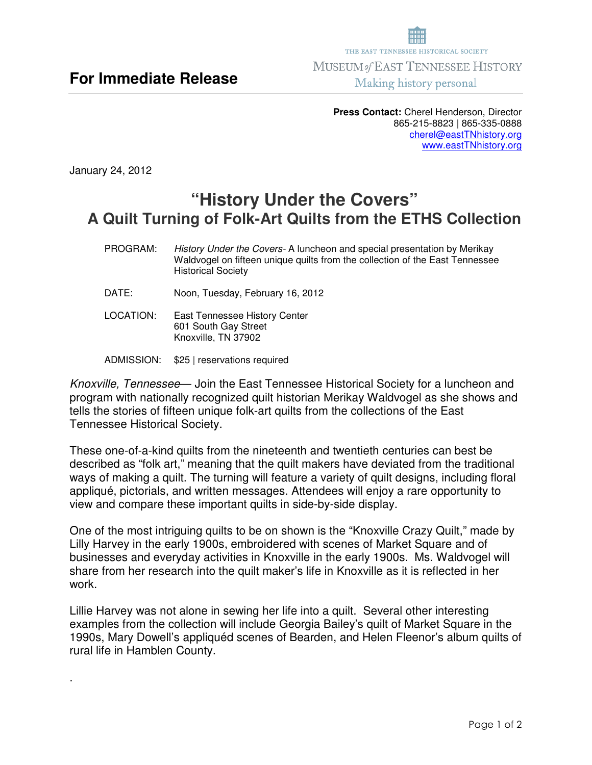**Press Contact:** Cherel Henderson, Director 865-215-8823 | 865-335-0888 cherel@eastTNhistory.org www.eastTNhistory.org

January 24, 2012

.

## **"History Under the Covers" A Quilt Turning of Folk-Art Quilts from the ETHS Collection**

- PROGRAM:History Under the Covers- A luncheon and special presentation by Merikay Waldvogel on fifteen unique quilts from the collection of the East Tennessee Historical Society
- DATE: Noon, Tuesday, February 16, 2012
- LOCATION: East Tennessee History Center 601 South Gay Street Knoxville, TN 37902
- ADMISSION: \$25 | reservations required

Knoxville, Tennessee— Join the East Tennessee Historical Society for a luncheon and program with nationally recognized quilt historian Merikay Waldvogel as she shows and tells the stories of fifteen unique folk-art quilts from the collections of the East Tennessee Historical Society.

These one-of-a-kind quilts from the nineteenth and twentieth centuries can best be described as "folk art," meaning that the quilt makers have deviated from the traditional ways of making a quilt. The turning will feature a variety of quilt designs, including floral appliqué, pictorials, and written messages. Attendees will enjoy a rare opportunity to view and compare these important quilts in side-by-side display.

One of the most intriguing quilts to be on shown is the "Knoxville Crazy Quilt," made by Lilly Harvey in the early 1900s, embroidered with scenes of Market Square and of businesses and everyday activities in Knoxville in the early 1900s. Ms. Waldvogel will share from her research into the quilt maker's life in Knoxville as it is reflected in her work.

Lillie Harvey was not alone in sewing her life into a quilt. Several other interesting examples from the collection will include Georgia Bailey's quilt of Market Square in the 1990s, Mary Dowell's appliquéd scenes of Bearden, and Helen Fleenor's album quilts of rural life in Hamblen County.